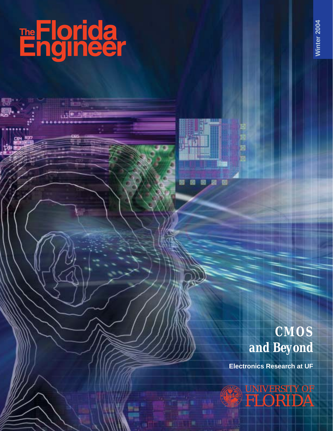



### *CMOS and Beyond*

**Electronics Research at UF**

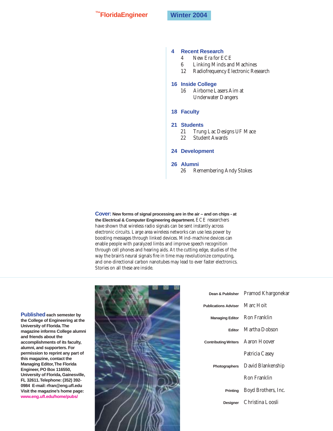**TheFloridaEngineer Winter 2004**

#### **4 Recent Research**

- 4 New Era for ECE
- 6 Linking Minds and Machines
- 12 Radiofrequency Electronic Research

#### **16 Inside College**

- 16 Airborne Lasers Aim at Underwater Dangers
- **18 Faculty**

#### **21 Students**

- 21 Trung Lac Designs UF Mace
- 22 Student Awards
- **24 Development**

#### **26 Alumni**

26 Remembering Andy Stokes

**Cover: New forms of signal processing are in the air – and on chips - at the Electrical & Computer Engineering department.**ECE researchers have shown that wireless radio signals can be sent instantly across electronic circuits. Large area wireless networks can use less power by boosting messages through linked devices. Mind-machine devices can enable people with paralyzed limbs and improve speech recognition through cell phones and hearing aids. At the cutting edge, studies of the way the brain's neural signals fire in time may revolutionize computing, and one-directional carbon nanotubes may lead to ever faster electronics. Stories on all these are inside.



|                                   | Dean & Publisher Pramod Khargonekar    |  |
|-----------------------------------|----------------------------------------|--|
| Publications Adviser Marc Hoit    |                                        |  |
|                                   | Managing Editor Ron Franklin           |  |
|                                   | Editor Martha Dobson                   |  |
| Contributing Writers Aaron Hoover |                                        |  |
|                                   | Patricia Casey                         |  |
|                                   | <b>Photographers</b> David Blankenship |  |
|                                   | <b>Ron Franklin</b>                    |  |
| Printing                          | Boyd Brothers, Inc.                    |  |
|                                   | Designer Christina Loosli              |  |

**Published each semester by the College of Engineering at the University of Florida.The magazine informs College alumni and friends about the accomplishments of its faculty, alumni, and supporters. For permission to reprint any part of this magazine, contact the Managing Editor,The Florida Engineer, PO Box 116550, University of Florida, Gainesville, FL 32611.Telephone: (352) 392- 0984 E-mail: rfran@eng.ufl.edu Visit the magazine's home page: www.eng.ufl.edu/home/pubs/**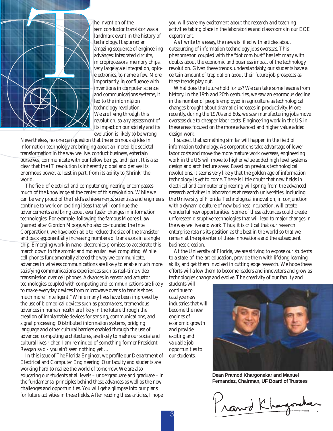

he invention of the

semiconductor transistor was a landmark event in the history of technology. It spurred an amazing sequence of engineering advances: integrated circuits, microprocessors, memory chips, very large scale integration, optoelectronics, to name a few. More importantly, in confluence with inventions in computer science and communications systems, it led to the information technology revolution. We are living through this revolution, so any assessment of its impact on our society and its evolution is likely to be wrong.

Nevertheless, no one can question that the enormous strides in information technology are bringing about an incredible societal transformation in the way we live, conduct business, entertain ourselves, communicate with our fellow beings, and learn. It is also clear that the IT revolution is inherently global and derives its enormous power, at least in part, from its ability to "shrink" the world.

The field of electrical and computer engineering encompasses much of the knowledge at the center of this revolution. While we can be very proud of the field's achievements, scientists and engineers continue to work on exciting ideas that will continue the advancements and bring about ever faster changes in information technologies. For example, following the famous Moore's Law (named after Gordon Moore, who also co-founded the Intel Corporation), we have been able to reduce the size of the transistor and pack exponentially increasing numbers of transistors in a single chip. Emerging work in nano-electronics promises to accelerate this march down to the atomic and molecular level computing. While cell phones fundamentally altered the way we communicate, advances in wireless communications are likely to enable much more satisfying communications experiences such as real-time video transmission over cell phones. Advances in sensor and actuator technologies coupled with computing and communications are likely to make everyday devices from microwave ovens to tennis shoes much more "intelligent." While many lives have been improved by the use of biomedical devices such as pacemakers, tremendous advances in human health are likely in the future through the creation of implantable devices for sensing, communications, and signal processing. Distributed information systems, bridging language and other cultural barriers enabled through the use of advanced computing architectures, are likely to make our social and cultural lives richer. I am reminded of something former President Reagan said - you ain't seen nothing yet …

In this issue of *The Florida Engineer*, we profile our Department of Electrical and Computer Engineering. Our faculty and students are working hard to realize the world of tomorrow. We are also educating our students at all levels – undergraduate and graduate – in the fundamental principles behind these advances as well as the new challenges and opportunities. You will get a glimpse into our plans for future activities in these fields. After reading these articles, I hope

you will share my excitement about the research and teaching activities taking place in the laboratories and classrooms in our ECE department.

As I write this essay, the news is filled with articles about outsourcing of information technology jobs overseas. This phenomenon coupled with the "dot com bust" has left many with doubts about the economic and business impact of the technology revolution. Given these trends, understandably, our students have a certain amount of trepidation about their future job prospects as these trends play out.

What does the future hold for us? We can take some lessons from history. In the 19th and 20th centuries, we saw an enormous decline in the number of people employed in agriculture as technological changes brought about dramatic increases in productivity. More recently, during the 1970s and 80s, we saw manufacturing jobs move overseas due to cheaper labor costs. Engineering work in the US in these areas focused on the more advanced and higher value added design work.

I suspect that something similar will happen in the field of information technology. As corporations take advantage of lower labor costs and move the more mature work overseas, engineering work in the US will move to higher value added high level systems design and architecture areas. Based on previous technological revolutions, it seems very likely that the golden age of information technology is yet to come. There is little doubt that new fields in electrical and computer engineering will spring from the advanced research activities in laboratories at research universities, including the University of Florida. Technological innovation, in conjunction with a dynamic culture of new business incubation, will create wonderful new opportunities. Some of these advances could create unforeseen disruptive technologies that will lead to major changes in the way we live and work. Thus, it is critical that our research enterprise retains its position as the best in the world so that we remain at the epicenter of these innovations and the subsequent business creation.

At the University of Florida, we are striving to expose our students to a state-of-the-art education, provide them with lifelong learning skills, and get them involved in cutting edge research. We hope these efforts will allow them to become leaders and innovators and grow as technologies change and evolve. The creativity of our faculty and

students will continue to catalyze new industries that will become the new engines of economic growth and provide exciting and valuable job opportunities to our students.



**Dean Pramod Khargonekar and Manuel Fernandez, Chairman, UF Board of Trustees**

Prawd Kha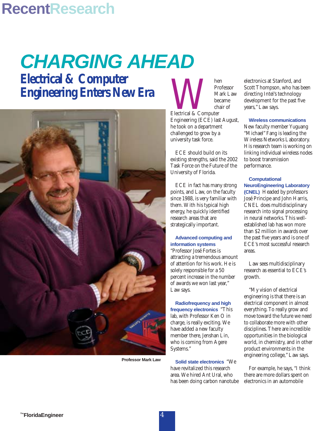### **RecentResearch**

## **CHARGING AHEAD**

**Electrical & Computer Engineering Enters New Era**



**Professor Mark Law**

Electrical & Computer Professor Mark Law became chair of Engineering (ECE) last August, he took on a department challenged to grow by a university task force.

ECE should build on its existing strengths, said the 2002 Task Force on the Future of the University of Florida.

ECE in fact has many strong points, and Law, on the faculty since 1988, is very familiar with them. With his typical high energy, he quickly identified research areas that are strategically important.

#### **Advanced computing and information systems**

"Professor José Fortes is attracting a tremendous amount of attention for his work. He is solely responsible for a 50 percent increase in the number of awards we won last year," Law says.

**Radiofrequency and high frequency electronics** "This lab, with Professor Ken O in charge, is really exciting. We have added a new faculty member there, Jenshan Lin, who is coming from Agere Systems."

**Solid state electronics** "We have revitalized this research area. We hired Ant Ural, who has been doing carbon nanotube electronics at Stanford, and Scott Thompson, who has been directing Intel's technology development for the past five years," Law says.

#### **Wireless communications**

New faculty member Yuguang "Michael" Fang is leading the Wireless Networks Laboratory. His research team is working on linking individual wireless nodes to boost transmission performance.

**Computational NeuroEngineering Laboratory (CNEL)** Headed by professors José Principe and John Harris, CNEL does multidisciplinary research into signal processing in neural networks. This wellestablished lab has won more than \$2 million in awards over the past five years and is one of ECE's most successful research areas.

Law sees multidisciplinary research as essential to ECE's growth.

"My vision of electrical engineering is that there is an electrical component in almost everything. To really grow and move toward the future we need to collaborate more with other disciplines. There are incredible opportunities in the biological world, in chemistry, and in other product environments in the engineering college," Law says.

For example, he says, "I think there are more dollars spent on electronics in an automobile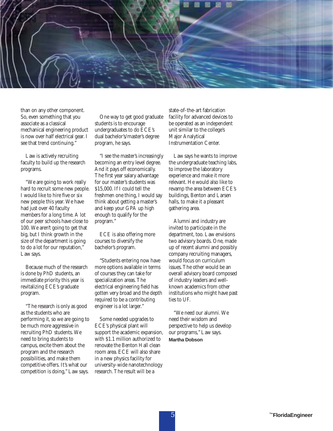

than on any other component. So, even something that you associate as a classical mechanical engineering product is now over half electrical gear. I see that trend continuing."

Law is actively recruiting faculty to build up the research programs.

"We are going to work really hard to recruit some new people. I would like to hire five or six new people this year. We have had just over 40 faculty members for a long time. A lot of our peer schools have close to 100. We aren't going to get that big, but I think growth in the size of the department is going to do a lot for our reputation," Law says.

Because much of the research is done by PhD students, an immediate priority this year is revitalizing ECE's graduate program.

"The research is only as good as the students who are performing it, so we are going to be much more aggressive in recruiting PhD students. We need to bring students to campus, excite them about the program and the research possibilities, and make them competitive offers. It's what our competition is doing," Law says.

One way to get good graduate students is to encourage undergraduates to do ECE's dual bachelor's/master's degree program, he says.

"I see the master's increasingly becoming an entry level degree. And it pays off economically. The first year salary advantage for our master's students was \$15,000. If I could tell the freshmen one thing, I would say think about getting a master's and keep your GPA up high enough to qualify for the program."

ECE is also offering more courses to diversify the bachelor's program.

"Students entering now have more options available in terms of courses they can take for specialization areas. The electrical engineering field has gotten very broad and the depth required to be a contributing engineer is a lot larger."

Some needed upgrades to ECE's physical plant will support the academic expansion, with \$1.1 million authorized to renovate the Benton Hall clean room area. ECE will also share in a new physics facility for university-wide nanotechnology research. The result will be a

state-of-the-art fabrication facility for advanced devices to be operated as an independent unit similar to the college's Major Analytical Instrumentation Center.

Law says he wants to improve the undergraduate teaching labs, to improve the laboratory experience and make it more relevant. He would also like to revamp the area between ECE's buildings, Benton and Larsen halls, to make it a pleasant gathering area.

Alumni and industry are invited to participate in the department, too. Law envisions two advisory boards. One, made up of recent alumni and possibly company recruiting managers, would focus on curriculum issues. The other would be an overall advisory board composed of industry leaders and wellknown academics from other institutions who might have past ties to UF.

"We need our alumni. We need their wisdom and perspective to help us develop our programs," Law says. **Martha Dobson**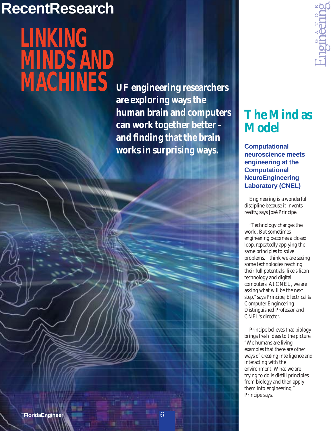### **RecentResearch**

## **LINKING MINDS AND MACHINES**

**UF engineering researchers are exploring ways the human brain and computers can work together better – and finding that the brain works in surprising ways.**



### **The Mind as Model**

**Computational neuroscience meets engineering at the Computational NeuroEngineering Laboratory (CNEL)**

Engineering is a wonderful discipline because it invents reality, says José Principe.

"Technology changes the world. But sometimes engineering becomes a closed loop, repeatedly applying the same principles to solve problems. I think we are seeing some technologies reaching their full potentials, like silicon technology and digital computers. At CNEL, we are asking what will be the next step," says Principe, Electrical & Computer Engineering Distinguished Professor and CNEL's director.

Principe believes that biology brings fresh ideas to the picture. "We humans are living examples that there are other ways of creating intelligence and interacting with the environment. What we are trying to do is distill principles from biology and then apply them into engineering," Principe says.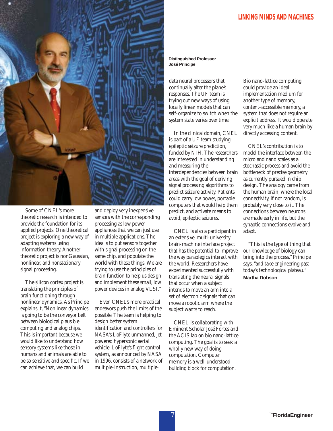

Some of CNEL's more theoretic research is intended to provide the foundation for its applied projects. One theoretical project is exploring a new way of adapting systems using information theory. Another theoretic project is nonGaussian, nonlinear, and nonstationary signal processing.

The silicon cortex project is translating the principles of brain functioning through nonlinear dynamics. As Principe explains it, "Nonlinear dynamics is going to be the conveyor belt between biological plausible computing and analog chips. This is important because we would like to understand how sensory systems like those in humans and animals are able to be so sensitive and specific. If we can achieve that, we can build

and deploy very inexpensive sensors with the corresponding processing as low power appliances that we can just use in multiple applications. The idea is to put sensors together with signal processing on the same chip, and populate the world with these things. We are trying to use the principles of brain function to help us design and implement these small, low power devices in analog VLSI."

Even CNEL's more practical endeavors push the limits of the possible. The team is helping to design better system identification and controllers for NASA's LoFlyte unmanned, jetpowered hypersonic aerial vehicle. LoFlyte's flight control system, as announced by NASA in 1996, consists of a network of multiple-instruction, multiple**Distinguished Professor José Principe**

data neural processors that continually alter the plane's responses. The UF team is trying out new ways of using locally linear models that can self-organize to switch when the system state varies over time.

In the clinical domain, CNEL is part of a UF team studying epileptic seizure prediction, funded by NIH. The researchers are interested in understanding and measuring the interdependencies between brain areas with the goal of deriving signal processing algorithms to predict seizure activity. Patients could carry low power, portable computers that would help them predict, and activate means to avoid, epileptic seizures.

CNEL is also a participant in an extensive, multi-university brain-machine interface project that has the potential to improve the way paraplegics interact with the world. Researchers have experimented successfully with translating the neural signals that occur when a subject intends to move an arm into a set of electronic signals that can move a robotic arm where the subject wants to reach.

CNEL is collaborating with Eminent Scholar José Fortes and the ACIS lab on bio nano-lattice computing. The goal is to seek a wholly new way of doing computation. Computer memory is a well-understood building block for computation.

Bio nano-lattice computing could provide an ideal implementation medium for another type of memory, content-accessible memory, a system that does not require an explicit address. It would operate very much like a human brain by directly accessing content.

CNEL's contribution is to model the interface between the micro and nano scales as a stochastic process and avoid the bottleneck of precise geometry as currently pursued in chip design. The analogy came from the human brain, where the local connectivity, if not random, is probably very close to it. The connections between neurons are made early in life, but the synaptic connections evolve and adapt.

"This is the type of thing that our knowledge of biology can bring into the process," Principe says, "and take engineering past today's technological plateau." **Martha Dobson**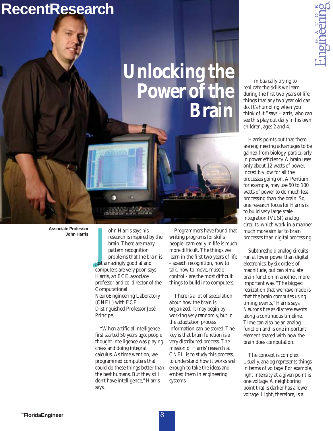### **RecentResearch**

## **Unlocking the Power of the Brain**

**ingineer** 

"I'm basically trying to replicate the skills we learn during the first two years of life, things that any two year old can do. It's humbling when you think of it," says Harris, who can see this play out daily in his own children, ages 2 and 4.

Harris points out that there are engineering advantages to be gained from biology, particularly in power efficiency. A brain uses only about 12 watts of power, incredibly low for all the processes going on. A Pentium, for example, may use 50 to 100 watts of power to do much less processing than the brain. So, one research focus for Harris is to build very large scale integration (VLSI) analog circuits, which work in a manner much more similar to brain processes than digital processing.

Subthreshold analog circuits run at lower power than digital electronics, by six orders of magnitude, but can simulate brain function in another, more important way. "The biggest realization that we have made is that the brain computes using timing events," Harris says. Neurons fire as discrete events along a continuous timeline. Time can also be an analog function and is one important element shared with how the brain does computation.

The concept is complex. Usually, analog represents things in terms of voltage. For example, light intensity at a given point is one voltage. A neighboring point that is darker has a lower voltage. Light, therefore, is a

**Associate Professor John Harris**

ohn Harris says his<br>research is inspired b<br>brain. There are man<br>pattern recognition<br>problems that the br<br>just amazingly good at and<br>computers are very poor sa ohn Harris says his research is inspired by the brain. There are many pattern recognition problems that the brain is computers are very poor, says Harris, an ECE associate professor and co-director of the Computational NeuroEngineering Laboratory (CNEL) with ECE Distinguished Professor José Principe.

"When artificial intelligence first started 50 years ago, people thought intelligence was playing chess and doing integral calculus. As time went on, we programmed computers that could do these things better than the best humans. But they still don't have intelligence," Harris says.

Programmers have found that writing programs for skills people learn early in life is much more difficult. The things we learn in the first two years of life - speech recognition, how to talk, how to move, muscle control - are the most difficult things to build into computers.

There is a lot of speculation about how the brain is organized. It may begin by working very randomly, but in the adaptation process information can be stored. The key is that brain function is a very distributed process. The mission of Harris' research at CNEL is to study this process, to understand how it works well enough to take the ideas and embed them in engineering systems.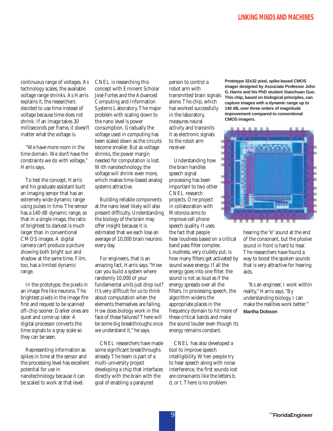continuous range of voltages. As technology scales, the available voltage range shrinks. As Harris explains it, the researchers decided to use time instead of voltage because time does not shrink. If an image takes 30 milliseconds per frame, it doesn't matter what the voltage is.

"We have more room in the time domain. We don't have the constraints we do with voltage," Harris says.

To test the concept, Harris and his graduate assistant built an imaging sensor that has an extremely wide dynamic range using pulses in time. The sensor has a 140 dB dynamic range, so that in a single image, the ratio of brightest to darkest is much larger than in conventional CMOS images. A digital camera can't produce a picture showing both bright sun and shadow at the same time. Film, too, has a limited dynamic range.

In the prototype, the pixels in an image fire like neurons. The brightest pixels in the image fire first and request to be scanned off-chip sooner. Darker ones are quiet and come up later. A digital processor converts the time signals to a gray scale so they can be seen.

Representing information as spikes in time at the sensor and the processing level has excellent potential for use in nanotechnology because it can be scaled to work at that level.

CNEL is researching this concept with Eminent Scholar José Fortes and the Advanced Computing and Information Systems Laboratory. The major problem with scaling down to the nano level is power consumption. Gradually the voltage used in computing has been scaled down as the circuits become smaller. But as voltage shrinks, the power margin needed for computation is lost. With nanotechnology, the voltage will shrink even more, which makes time-based analog systems attractive.

Building reliable components at the nano level likely will also present difficulty. Understanding the biology of the brain may offer insight because it is estimated that we each lose an average of 10,000 brain neurons every day.

For engineers, that is an amazing fact, Harris says. "How can you build a system where randomly 10,000 of your fundamental units just drop out? It's very difficult for us to think about computation when the elements themselves are failing. How does biology work in the face of these failures? There will be some big breakthroughs once we understand it," he says.

CNEL researchers have made some significant breakthroughs already. The team is part of a multi-university project developing a chip that interfaces directly with the brain with the goal of enabling a paralyzed

person to control a robot arm with transmitted brain signals alone. The chip, which has worked successfully in the laboratory, measures neural activity and transmits it as electronic signals to the robot arm receiver.

Understanding how the brain handles speech signal processing has been important to two other CNEL research projects. One project in collaboration with Motorola aims to improve cell phone speech quality. It uses the fact that people hear loudness based on a critical band pass filter complex. Loudness, very crudely put, is how many filters get activated by sound wave energy. If all the energy goes into one filter, the sound is not as loud as if the energy spreads over all the filters. In processing speech, the algorithm widens the appropriate places in the frequency domain to hit more of these critical bands and make the sound louder even though its energy remains constant.

CNEL has also developed a tool to improve speech intelligibility. When people try to hear speech along with noise interference, the first sounds lost are consonants like the letters b, d, or t. There is no problem

**Prototype 32x32 pixel, spike-based CMOS imager designed by Associate Professor John G. Harris and his PhD student Xiaochuan Guo. This chip, based on biological principles, can capture images with a dynamic range up to 140 dB, over three orders of magnitude improvement compared to conventional CMOS imagers.**



hearing the "e" sound at the end of the consonant, but the plosive sound in front is hard to hear. The researchers have found a way to boost the spoken sounds that is very attractive for hearing aids.

"As an engineer, I work within reality," Harris says. "By understanding biology, I can make the realities work better." **Martha Dobson**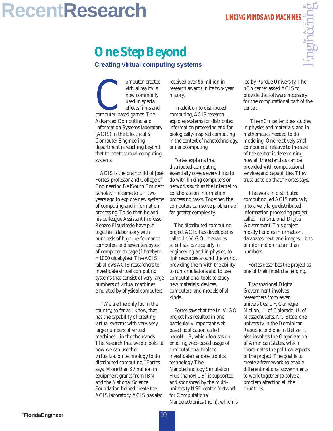## **RecentResearch**

### **One Step Beyond**

**Creating virtual computing systems**

omputer-created<br>
virtual reality is<br>
now commonly<br>
used in special<br>
effects films and<br>
computer-based games. The<br>
Advanced Computing and virtual reality is now commonly used in special effects films and Advanced Computing and Information Systems laboratory (ACIS) in the Electrical & Computer Engineering department is reaching beyond that to create virtual computing systems.

ACIS is the brainchild of José Fortes, professor and College of Engineering BellSouth Eminent Scholar. He came to UF two years ago to explore new systems of computing and information processing. To do that, he and his colleague Assistant Professor Renato Figueiredo have put together a laboratory with hundreds of high-performance computers and seven terabytes of computer storage (1 terabyte = 1000 gigabytes). The ACIS lab allows ACIS researchers to investigate virtual computing systems that consist of very large numbers of virtual machines emulated by physical computers.

"We are the only lab in the country, so far as I know, that has the capability of creating virtual systems with very, very large numbers of virtual machines - in the thousands. The research that we do looks at how we can use the virtualization technology to do distributed computing," Fortes says. More than \$7 million in equipment grants from IBM and the National Science Foundation helped create the ACIS laboratory. ACIS has also

received over \$5 million in research awards in its two-year history.

In addition to distributed computing, ACIS research explores systems for distributed information processing and for biologically-inspired computing in the context of nanotechnology, or nanocomputing.

Fortes explains that distributed computing essentially covers everything to do with linking computers on networks such as the Internet to collaborate on information processing tasks. Together, the computers can solve problems of far greater complexity.

The distributed computing project ACIS has developed is called In-VIGO. It enables scientists, particularly in engineering and in physics, to link resources around the world, providing them with the ability to run simulations and to use computational tools to study new materials, devices, computers, and models of all kinds.

Fortes says that the In-VIGO project has resulted in one particularly important webbased application called nanoHUB, which focuses on enabling web-based usage of computational tools to investigate nanoelectronics technology. The Nanotechnology Simulation Hub (nanoHUB) is supported and sponsored by the multiuniversity NSF center, Network for Computational Nanoelectronics (nCn), which is led by Purdue University. The nCn center asked ACIS to provide the software necessary for the computational part of the center.

"The nCn center does studies in physics and materials, and in mathematics needed to do modeling. One relatively small component, relative to the size of the center, is determining how all the scientists can be provided with computational services and capabilities. They trust us to do that," Fortes says.

The work in distributed computing led ACIS naturally into a very large distributed information processing project called Transnational Digital Government. This project mostly handles information, databases, text, and images – bits of information rather than numbers.

Fortes describes the project as one of their most challenging.

Transnational Digital Government involves researchers from seven universities: UF, Carnegie Mellon, U. of Colorado, U. of Massachusetts, NC State, one university in the Dominican Republic and one in Belize. It also involves the Organization of American States, which coordinates the political aspects of the project. The goal is to create a framework to enable different national governments to work together to solve a problem affecting all the countries.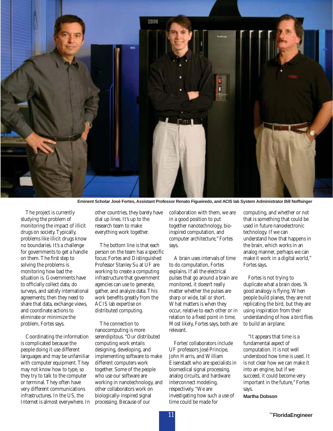

**Eminent Scholar José Fortes, Assistant Professor Renato Figueiredo, and ACIS lab System Administrator Bill Noffsinger**

The project is currently studying the problem of monitoring the impact of illicit drugs on society. Typically, problems like illicit drugs know no boundaries. It's a challenge for governments to get a handle on them. The first step to solving the problems is monitoring how bad the situation is. Governments have to officially collect data, do surveys, and satisfy international agreements; then they need to share that data, exchange views, and coordinate actions to eliminate or minimize the problem, Fortes says.

Coordinating the information is complicated because the people doing it use different languages and may be unfamiliar with computer equipment. They may not know how to type, so they try to talk to the computer or terminal. They often have very different communications infrastructures. In the US, the Internet is almost everywhere. In other countries, they barely have dial up lines. It's up to the research team to make everything work together.

The bottom line is that each person on the team has a specific focus: Fortes and Distinguished Professor Stanley Su at UF are working to create a computing infrastructure that government agencies can use to generate, gather, and analyze data. This work benefits greatly from the ACIS lab expertise on distributed computing.

The connection to nanocomputing is more serendipitous. "Our distributed computing work entails designing, developing, and implementing software to make different computers work together. Some of the people who use our software are working in nanotechnology, and other collaborators work on biologically-inspired signal processing. Because of our

collaboration with them, we are in a good position to put together nanotechnology, bioinspired computation, and computer architecture," Fortes says.

A brain uses intervals of time to do computation, Fortes explains. If all the electrical pulses that go around a brain are monitored, it doesn't really matter whether the pulses are sharp or wide, tall or short. What matters is when they occur, relative to each other or in relation to a fixed point in time. Most likely, Fortes says, both are relevant.

Fortes' collaborators include UF professors José Principe, John Harris, and William Eisenstadt who are specialists in biomedical signal processing, analog circuits, and hardware interconnect modeling, respectively. "We are investigating how such a use of time could be made for

computing, and whether or not that is something that could be used in future nanoelectronic technology. If we can understand how that happens in the brain, which works in an analog manner, perhaps we can make it work in a digital world," Fortes says.

Fortes is not trying to duplicate what a brain does. "A good analogy is flying. When people build planes, they are not replicating the bird, but they are using inspiration from their understanding of how a bird flies to build an airplane.

"It appears that time is a fundamental aspect of computation. It is not well understood how time is used. It is not clear how we can make it into an engine, but if we succeed, it could become very important in the future," Fortes says.

**Martha Dobson**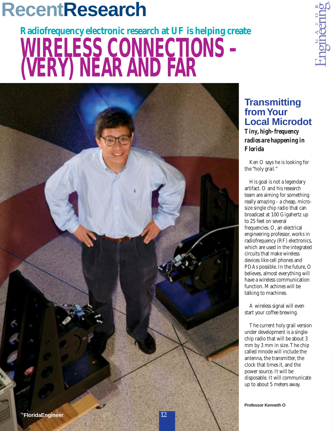## **RecentResearch**

# **Radiofrequency electronic research at UF is helping create WIRELESS CONNECTIONS – (VERY) NEAR AND FAR**



### **Transmitting from Your Local Microdot** *Tiny, high-frequency*

*radios are happening in Florida*

Ken O says he is looking for the "holy grail."

His goal is not a legendary artifact. O and his research team are aiming for something really amazing - a cheap, microsize single chip radio that can broadcast at 100 Gigahertz up to 25 feet on several frequencies. O, an electrical engineering professor, works in radiofrequency (RF) electronics, which are used in the integrated circuits that make wireless devices like cell phones and PDAs possible. In the future, O believes, almost everything will have a wireless communication function. Machines will be talking to machines.

A wireless signal will even start your coffee brewing.

The current holy grail version under development is a singlechip radio that will be about 3 mm by 3 mm in size. The chip called mnode will include the antenna, the transmitter, the clock that times it, and the power source. It will be disposable. It will communicate up to about 5 meters away.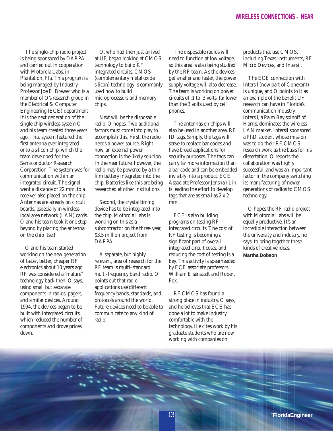The single-chip radio project is being sponsored by DARPA and carried out in cooperation with Motorola Labs, in Plantation, Fla. This program is being managed by Industry Professor Joe E. Brewer who is a member of O's research group in the Electrical & Computer Engineering (ECE) department. It is the next generation of the single chip wireless system O and his team created three years ago. That system featured the first antenna ever integrated onto a silicon chip, which the team developed for the Semiconductor Research Corporation. The system was for communication within an integrated circuit. The signal went a distance of 22 mm, to a receiver also placed on the chip. Antennas are already on circuit boards, especially in wireless local area network (LAN) cards. O and his team took it one step beyond by placing the antenna on the chip itself.

O and his team started working on the new generation of faster, better, cheaper RF electronics about 10 years ago. RF was considered a "mature" technology back then, O says, using small but separate components in radios, pagers, and similar devices. Around 1994, the devices began to be built with integrated circuits, which reduced the number of components and drove prices down.

O, who had then just arrived at UF, began looking at CMOS technology to build RF integrated circuits. CMOS (complementary metal oxide silicon) technology is commonly used now to build microprocessors and memory chips.

Next will be the disposable radio, O hopes. Two additional factors must come into play to accomplish this. First, the radio needs a power source. Right now, an external power connection is the likely solution. In the near future, however, the radio may be powered by a thin film battery integrated into the chip. Batteries like this are being researched at other institutions.

Second, the crystal timing device has to be integrated into the chip. Motorola Labs is working on this as a subcontractor on the three-year, \$3.5 million project from DARPA.

A separate, but highly relevant, area of research for the RF team is multi-standard, multi-frequency band radio. O points out that radio applications use different frequency bands, standards, and protocols around the world. Future devices need to be able to communicate to any kind of radio.

The disposable radios will need to function at low voltage, so this area is also being studied by the RF team. As the devices get smaller and faster, the power supply voltage will also decrease. The team is working on power circuits of .1 to .3 volts, far lower than the 3 volts used by cell phones.

The antennas on chips will also be used in another area, RF ID tags. Simply, the tags will serve to replace bar codes and have broad applications for security purposes. The tags can carry far more information than a bar code and can be embedded invisibly into a product. ECE Associate Professor Jenshan Lin is leading the effort to develop tags that are as small as 2 x 2 mm.

ECE is also building programs on testing RF integrated circuits. The cost of RF testing is becoming a significant part of overall integrated circuit costs, and reducing the cost of testing is a key. This activity is spearheaded by ECE associate professors William Eisenstadt and Robert Fox.

RF CMOS has found a strong place in industry, O says, and he believes that ECE has done a lot to make industry comfortable with the technology. He cites work by his graduate students who are now working with companies on

products that use CMOS, including Texas Instruments, RF Micro Devices, and Intersil.

The ECE connection with Intersil (now part of Conexant) is unique, and O points to it as an example of the benefit UF research can have in Florida's communication industry. Intersil, a Palm Bay spinoff of Harris, dominates the wireless LAN market. Intersil sponsored a PhD student whose mission was to do their RF CMOS research work as the basis for his dissertation. O reports the collaboration was highly successful, and was an important factor in the company switching its manufacturing of newer generations of radios to CMOS technology.

O hopes the RF radio project with Motorola Labs will be equally productive. It's an incredible interaction between the university and industry, he says, to bring together these kinds of creative ideas. **Martha Dobson**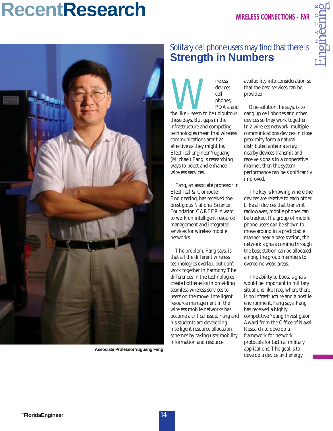### **RecentResearch WIRELESS CONNECTIONS – FAR**



**Associate Professor Yuguang Fang**

### Solitary cell phone users may find that there is **Strength in Numbers**

the like – seem to be ubiquitous<br>these days But gaps in the devices – cell phones, PDAs, and these days. But gaps in the infrastructure and competing technologies mean that wireless communications aren't as effective as they might be. Electrical engineer Yuguang (Michael) Fang is researching ways to boost and enhance wireless services.

Fang, an associate professor in Electrical & Computer Engineering, has received the prestigious National Science Foundation CAREER Award to work on intelligent resource management and integrated services for wireless mobile networks.

The problem, Fang says, is that all the different wireless technologies overlap, but don't work together in harmony. The differences in the technologies create bottlenecks in providing seamless wireless services to users on the move. Intelligent resource management in the wireless mobile networks has become a critical issue. Fang and his students are developing intelligent resource allocation schemes by taking user mobility information and resource

availability into consideration so that the best services can be provided.

One solution, he says, is to gang up cell phones and other devices so they work together. In a wireless network, multiple communications devices in close proximity form a natural distributed antenna array. If nearby devices transmit and receive signals in a cooperative manner, then the system performance can be significantly improved.

The key is knowing where the devices are relative to each other. Like all devices that transmit radiowaves, mobile phones can be tracked. If a group of mobile phone users can be shown to move around in a predictable manner near a base station, the network signals coming through the base station can be allocated among the group members to overcome weak areas.

The ability to boost signals would be important in military situations like Iraq, where there is no infrastructure and a hostile environment, Fang says. Fang has received a highly competitive Young Investigator Award from the Office of Naval Research to develop a framework for network protocols for tactical military applications. The goal is to develop a device and energy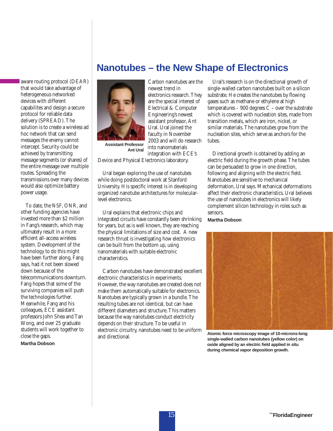aware routing protocol (DEAR) that would take advantage of heterogeneous networked devices with different capabilites and design a secure protocol for reliable data delivery (SPREAD). The solution is to create a wireless ad hoc network that can send messages the enemy cannot intercept. Security could be achieved by transmitting message segments (or shares) of the entire message over multiple routes. Spreading the transmissions over many devices would also optimize battery power usage.

To date, the NSF, ONR, and other funding agencies have invested more than \$2 million in Fang's research, which may ultimately result in a more efficient all-access wireless system. Development of the technology to do this might have been further along, Fang says, had it not been slowed down because of the telecommunications downturn. Fang hopes that some of the surviving companies will push the technologies further. Meanwhile, Fang and his colleagues, ECE assistant professors John Shea and Tan Wong, and over 25 graduate students will work together to close the gaps.

**Martha Dobson**

### **Nanotubes – the New Shape of Electronics**



**Ant Ural**

Carbon nanotubes are the newest trend in electronics research. They are the special interest of Electrical & Computer Engineering's newest assistant professor, Ant Ural. Ural joined the faculty in November 2003 and will do research into nanomaterials integration with ECE's

Device and Physical Electronics laboratory.

Ural began exploring the use of nanotubes while doing postdoctoral work at Stanford University. His specific interest is in developing organized nanotube architectures for molecularlevel electronics.

Ural explains that electronic chips and integrated circuits have constantly been shrinking for years, but as is well known, they are reaching the physical limitations of size and cost. A new research thrust is investigating how electronics can be built from the bottom up, using nanomaterials with suitable electronic characteristics.

Carbon nanotubes have demonstrated excellent electronic characteristics in experiments. However, the way nanotubes are created does not make them automatically suitable for electronics. Nanotubes are typically grown in a bundle. The resulting tubes are not identical, but can have different diameters and structure. This matters because the way nanotubes conduct electricity depends on their structure. To be useful in electronic circuitry, nanotubes need to be uniform and directional.

Ural's research is on the directional growth of single-walled carbon nanotubes built on a silicon substrate. He creates the nanotubes by flowing gases such as methane or ethylene at high temperatures – 900 degrees  $\ddot{C}$  – over the substrate which is covered with nucleation sites, made from transition metals, which are iron, nickel, or similar materials. The nanotubes grow from the nucleation sites, which serve as anchors for the tubes.

Directional growth is obtained by adding an electric field during the growth phase. The tubes can be persuaded to grow in one direction, following and aligning with the electric field. Nanotubes are sensitive to mechanical deformation, Ural says. Mechanical deformations affect their electronic characteristics. Ural believes the use of nanotubes in electronics will likely complement silicon technology in roles such as sensors.

#### **Martha Dobson**



**Atomic force microscopy image of 10-microns-long single-walled carbon nanotubes (yellow color) on oxide aligned by an electric field applied in situ during chemical vapor deposition growth.**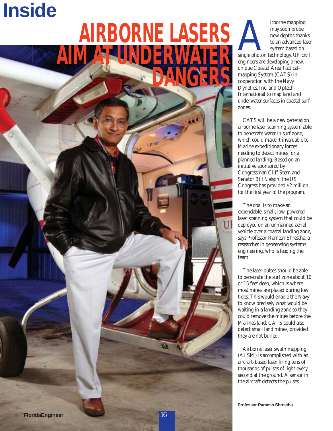## **Inside**

## **AIRBORNE LASERS AIM AT JUNDERWA DANGERS**

From emapping<br>
may soon probe<br>
new depths thanks<br>
to an advanced lase<br>
system based on<br>
single photon technology. UF civil<br>
engineers are developing a new may soon probe new depths thanks to an advanced laser system based on engineers are developing a new, unique Coastal Area Tactical-

mapping System (CATS) in cooperation with the Navy, Dynetics, Inc. and Optech International to map land and underwater surfaces in coastal surf zones.

CATS will be a new generation airborne laser scanning system able to penetrate water in surf zone, which could make it invaluable to Marine expeditionary forces needing to detect mines for a planned landing. Based on an initiative sponsored by Congressman Cliff Stern and Senator Bill Nelson, the US Congress has provided \$2 million for the first year of the program.

The goal is to make an expendable, small, low-powered laser scanning system that could be deployed on an unmanned aerial vehicle over a coastal landing zone, says Professor Ramesh Shrestha, a researcher in geosensing systems engineering, who is leading the team.

The laser pulses should be able to penetrate the surf zone about 10 or 15 feet deep, which is where most mines are placed during low tides. This would enable the Navy to know precisely what would be waiting in a landing zone so they could remove the mines before the Marines land. CATS could also detect small land mines, provided they are not buried.

Airborne laser swath mapping (ALSM) is accomplished with an aircraft-based laser firing tens of thousands of pulses of light every second at the ground. A sensor in the aircraft detects the pulses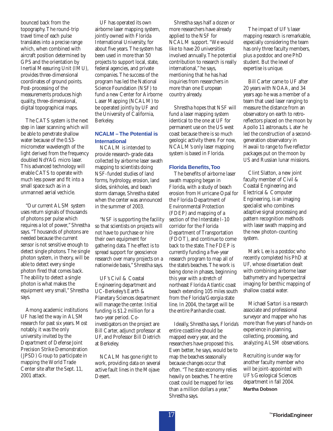bounced back from the topography. The round-trip travel time of each pulse translates into a precise range which, when combined with aircraft position determined by GPS and the orientation by Inertial Measuring Unit (IMU), provides three-dimensional coordinates of ground points. Post-processing of the measurements produces high quality, three-dimensional, digital topographical maps.

The CATS system is the next step in laser scanning which will be able to penetrate shallow water because of the 0.53 micrometer wavelength of the light derived from the frequency doubled NdYAG micro laser. This advanced technology will enable CATS to operate with much less power and fit into a small space such as in a unmanned aerial vechicle.

"Our current ALSM system uses return signals of thousands of photons per pulse which requires a lot of power," Shrestha says. "Thousands of photons are needed because the current sensor is not sensitive enough to detect single photons. The single photon system, in theory, will be able to detect every single photon fired that comes back. The ability to detect a single photon is what makes the equipment very small," Shrestha says.

Among academic institutions UF has led the way in ALSM research for past six years. Most notably, it was the only university invited by the Department of Defense Joint Precision Strike Demonstration (JPSD) Group to participate in mapping the World Trade Center site after the Sept. 11, 2001 attack.

UF has operated its own airborne laser mapping system, jointly owned with Florida International University, for about five years. The system has been used in more than 50 projects to support local, state, federal agencies, and private companies. The success of the program has led the National Science Foundation (NSF) to fund a new Center for Airborne Laser Mapping (NCALM) to be operated jointly by UF and the University of California, Berkeley.

#### **NCALM – The Potential is International**

NCALM is intended to provide research-grade data collected by airborne laser swath mapping to scientists doing NSF-funded studies of land forms, hydrology, erosion, land slides, sinkholes, and beach storm damage, Shrestha stated when the center was announced in the summer of 2003.

"NSF is supporting the facility so that scientists on projects will not have to purchase or hire their own equipment for gathering data. The effect is to spread support for geoscience research over many projects on a nationwide basis," Shrestha says.

UF's Civil & Coastal Engineering department and UC-Berkeley's Earth & Planetary Sciences department will manage the center. Initial funding is \$1.2 million for a two-year period. Coinvestigators on the project are Bill Carter, adjunct professor at UF, and Professor Bill Dietrich at Berkeley.

NCALM has gone right to work, providing data on several active fault lines in the Mojave Desert.

Shrestha says half a dozen or more researchers have already applied to the NSF for NCALM support. "We would like to have 20 universities involved annually. The potential contribution to research is really international," he says, mentioning that he has had inquiries from researchers in more than one European country already.

Shrestha hopes that NSF will fund a laser mapping system identical to the one at UF for permanent use on the US west coast because there is so much geologic activity there. For now, NCALM's only laser mapping system is based in Florida.

#### **Florida Benefits,Too**

The benefits of airborne laser swath mapping began in Florida, with a study of beach erosion from Hurricane Opal for the Florida Department of Environmental Protection (FDEP) and mapping of a section of the Interstate I-10 corridor for the Florida Department of Transportation (FDOT), and continue to come back to the state. The FDEP is currently funding a five-year research program to map all of the state's beaches. The work is being done in phases, beginning this year with a stretch of northeast Florida Atlantic coast beach extending 105 miles south from the Florida/Georgia state line. In 2004, the target will be the entire Panhandle coast.

Ideally, Shrestha says, Florida's entire coastline should be mapped every year, and the researchers have proposed this. Even better, he says, would be to map the beaches seasonally because changes occur that often. "The state economy relies heavily on beaches. The entire coast could be mapped for less than a million dollars a year," Shrestha says.

The impact of UF's laser mapping research is remarkable, especially considering the team has only three faculty members, plus a postdoc and one PhD student. But the level of expertise is unique.

Bill Carter came to UF after 20 years with NOAA, and 34 years ago he was a member of a team that used laser ranging to measure the distance from an observatory on earth to retroreflectors placed on the moon by Apollo 11 astronauts. Later he led the construction of a secondgeneration observatory in Hawaii to range to five reflector packages put on the moon by US and Russian lunar missions.

Clint Slatton, a new joint faculty member of Civil & Coastal Engineering and Electrical & Computer Engineering, is an imaging specialist who combines adaptive signal processing and pattern recognition methods with laser swath mapping and the new photon-counting system.

Mark Lee is a postdoc who recently completed his PhD at UF, whose dissertation dealt with combining airborne laser bathymetry and hyperspectral imaging for benthic mapping of shallow coastal water.

Michael Sartori is a research associate and professional surveyor and mapper who has more than five years of hands-on experience in planning, collecting, processing, and analyzing ALSM observations.

Recruiting is under way for another faculty member who will be joint-appointed with UF's Geological Sciences department in fall 2004. **Martha Dobson**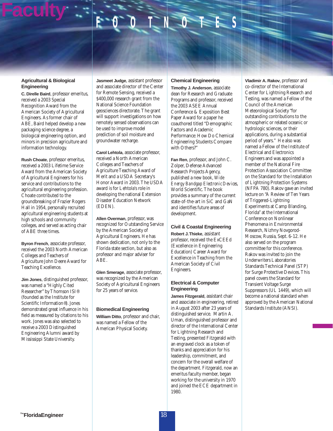**Faculty**  $F$ 

#### **Agricultural & Biological Engineering**

**C. Direlle Baird**, professor emeritus, received a 2003 Special Recognition Award from the American Society of Agricultural Engineers. As former chair of ABE, Baird helped develop a new packaging science degree, a biological engineering option, and minors in precision agriculture and information technology.

**Rush Choate**, professor emeritus, received a 2003 Lifetime Service Award from the American Society of Agricultural Engineers for his service and contributions to the agricultural engineering profession. Choate contributed to the groundbreaking of Frazier Rogers Hall in 1954, personally recruited agricultural engineering students at high schools and community colleges, and served as acting chair of ABE three times.

**Byron French**, associate professor, received the 2003 North American Colleges and Teachers of Agriculture John Deere Award for Teaching Excellence.

**Jim Jones**, distinguished professor, was named a "Highly Cited Researcher" by Thomson ISI® (founded as the Institute for Scientific Information®). Jones demonstrated great influence in his field as measured by citations to his work. Jones was also selected to receive a 2003 Distinguished Engineering Alumni award by Mississippi State University.

**Jasmeet Judge**, assistant professor and associate director of the Center for Remote Sensing, received a \$400,000 research grant from the National Science Foundation geosciences directorate. The grant will support investigations on how remotely sensed observations can be used to improve model prediction of soil moisture and groundwater recharge.

**Carol Lehtola**, associate professor, received a North American Colleges and Teachers of Agriculture Teaching Award of Merit and a USDA Secretary's Honor Award in 2003. The USDA award is for Lehtola's role in developing the national Extension Disaster Education Network (EDEN).

**Allen Overman**, professor, was recognized for Outstanding Service by the American Society of Agricultural Engineers. He has shown dedication, not only to the Florida state section, but also as professor and major adviser for ABE.

**Glen Smerage**, associate professor, was recognized by the American Society of Agricultural Engineers for 25 years of service.

#### **Biomedical Engineering**

**William Ditto**, professor and chair, was named a Fellow of the American Physical Society.

#### **Chemical Engineering**

**Timothy J. Anderson**, associate dean for Research and Graduate Programs and professor, received the 2003 ASEE Annual Conference & Exposition Best Paper Award for a paper he coauthored titled "Demographic Factors and Academic Performance: How Do Chemical Engineering Students Compare with Others?"

**Fan Ren**, professor, and John C. Zolper, Defense Advanced Research Projects Agency, published a new book, *Wide Energy Bandgap Electronic Devices*, World Scientific. The book provides a summary of the current state-of-the-art in SiC and GaN and identifies future areas of development.

#### **Civil & Coastal Engineering**

**Robert J.Thieke**, assistant professor, received the ExCEEd (Excellence in Engineering Education) Career Award for Excellence in Teaching from the American Society of Civil Engineers.

#### **Electrical & Computer Engineering**

**James Fitzgerald**, assistant chair and associate in engineering, retired in August 2003 after 23 years of distinguished service. Martin A. Uman, distinguished professor and director of the International Center for Lightning Research and Testing, presented Fitzgerald with an engraved clock as a token of thanks and appreciation for his leadership, commitment, and concern for the overall welfare of the department. Fitzgerald, now an emeritus faculty member, began working for the university in 1970 and joined the ECE department in 1980.

**Vladimir A. Rakov**, professor and co-director of the International Center for Lightning Research and Testing, was named a Fellow of the Council of the American Meteorological Society "for outstanding contributions to the atmospheric or related oceanic or hydrologic sciences, or their applications, during a substantial period of years." He also was named a Fellow of the Institute of Electrical and Electronics Engineers and was appointed a member of the National Fire Protection Association Committee on the Standard for the Installation of Lightning Protection Systems (NFPA 780). Rakov gave an invited lecture on "A Review of Ten Years of Triggered-Lightning Experiments at Camp Blanding, Florida" at the International Conference on Nonlinear Phenomena in Environmental Research, Nizhny Novgorod-Moscow, Russia, Sept. 6-12. He also served on the program committee for this conference. Rakov was invited to join the Underwriters Laboratories Standards Technical Panel (STP) for Surge Protective Devices. This panel covers the Standard for Transient Voltage Surge Suppressors (UL 1449), which will become a national standard when approved by the American National Standards Institute (ANSI).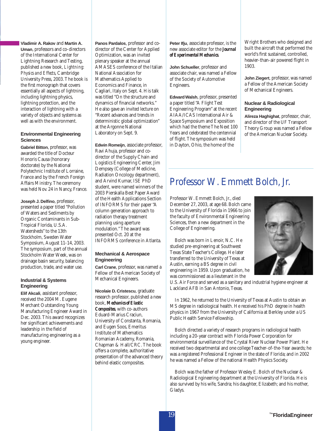#### **Vladimir A. Rakov** and **Martin A. Uman**, professors and co-directors of the International Center for Lightning Research and Testing, published a new book, *Lightning: Physics and Effects*, Cambridge University Press, 2003. The book is the first monograph that covers essentially all aspects of lightning, including lightning physics, lightning protection, and the interaction of lightning with a variety of objects and systems as well as with the environment.

#### **Environmental Engineering Sciences**

**Gabriel Bitton**, professor, was awarded the title of Docteur Honoris Causa (honorary doctorate) by the National Polytechnic Institute of Lorraine, France and by the French Foreign Affairs Ministry. The ceremony was held Nov. 24 in Nancy, France.

**Joseph J. Delfino**, professor, presented a paper titled "Pollution of Waters and Sediments by Organic Contaminants in Sub-Tropical Florida, U.S.A. Watersheds" to the 13th Stockholm, Sweden Water Symposium, August 11-14, 2003. The symposium, part of the annual Stockholm Water Week, was on drainage basin security, balancing production, trade, and water use.

#### **Industrial & Systems Engineering**

**Elif Akcali**, assistant professor, received the 2004 M. Eugene Merchant Outstanding Young Manufacturing Engineer Award in Dec. 2003. This award recognizes her significant achievements and leadership in the field of manufacturing engineering as a young engineer.

**Panos Pardalos**, professor and codirector of the Center for Applied Optimization, was an invited plenary speaker at the annual AMASES conference of the Italian National Association for Mathematics Applied to Economics and Finance, in Cagliari, Italy on Sept. 4. His talk was titled "On the structure and dynamics of financial networks." He also gave an invited lecture on "Recent advances and trends in deterministic global optimization" at the Argonne National Laboratory on Sept. 9.

**Edwin Romeijn**, associate professor, Ravi Ahuja, professor and codirector of the Supply Chain and Logistics Engineering Center, Jim Dempsey (College of Medicine, Radiation Oncology department), and Arvind Kumar, ISE PhD student, were named winners of the 2003 Pierskalla Best Paper Award of the Health Applications Section of INFORMS for their paper "A column generation approach to radiation therapy treatment planning using aperture modulation." The award was presented Oct. 20 at the INFORMS conference in Atlanta.

#### **Mechanical & Aerospace Engineering**

**Carl Crane**, professor, was named a Fellow of the American Society of Mechanical Engineers.

**Nicolaie D. Cristescu**, graduate research professor, published a new book, *Mechanics of Elastic Composites*, with co-authors Eduard-Marius Craciun, University of Constanta, Romania, and Eugen Soos, Emeritus Institute of Mathematics Romanian Academy, Romania, Chapman & Hall/CRC. The book offers a complete, authoritative presentation of the advanced theory behind elastic composites.

**Peter Ifju**, associate professor, is the new associate editor for the *Journal of Experimental Mechanics*.

**John Schueller**, professor and associate chair, was named a Fellow of the Society of Automotive Engineers.

**Edward Walsh**, professor, presented a paper titled "A Flight Test Engineering Program" at the recent AIAA/ICAS International Air & Space Symposium and Exposition which had the theme The Next 100 Years and celebrated the centennial of flight. The symposium was held in Dayton, Ohio, the home of the

Wright Brothers who designed and built the aircraft that performed the world's first sustained, controlled, heavier-than-air powered flight in 1903.

**John Ziegert**, professor, was named a Fellow of the American Society of Mechanical Engineers.

#### **Nuclear & Radiological Engineering**

**Alireza Haghighat**, professor, chair, and director of the UF Transport Theory Group was named a Fellow of the American Nuclear Society.

### Professor W. Emmett Bolch, Jr.

Professor W. Emmett Bolch, Jr., died December 27, 2003, at age 68. Bolch came to the University of Florida in 1966 to join the faculty of Environmental Engineering Sciences, then a new department in the College of Engineering.

Bolch was born in Lenoir, N.C. He studied pre-engineering at Southwest Texas State Teacher's College. He later transferred to the University of Texas at Austin, earning a BS degree in civil engineering in 1959. Upon graduation, he was commissioned as a lieutenant in the



U.S. Air Force and served as a sanitary and industrial hygiene engineer at Lackland AFB in San Antonio, Texas.

In 1962, he returned to the University of Texas at Austin to obtain an MS degree in radiological health. He received his PhD degree in health physics in 1967 from the University of California at Berkley under a US Public Health Service Fellowship.

Bolch directed a variety of research programs in radiological health including a 20-year contract with Florida Power Corporation for environmental surveillance of the Crystal River Nuclear Power Plant. He received two departmental and one college Teacher-of-the-Year awards; he was a registered Professional Engineer in the state of Florida; and in 2002 he was named a Fellow of the national Health Physics Society.

Bolch was the father of Professor Wesley E. Bolch of the Nuclear & Radiological Engineering department at the University of Florida. He is also survived by his wife, Sandra; his daughter, Elizabeth; and his mother, Gladys.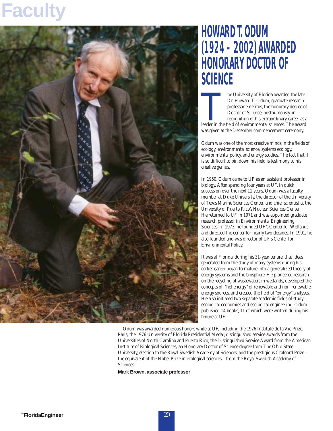## **Faculty**



### **HOWARD T.ODUM (1924 – 2002) AWARDED HONORARY DOCTOR OF SCIENCE**

The University of Florida awarded the late<br>
Dr. Howard T. Odum, graduate research<br>
professor emeritus, the honorary degree of<br>
Doctor of Science, posthumously, in<br>
recognition of his extraordinary career as a<br>
leader in th Dr. Howard T. Odum, graduate research professor emeritus, the honorary degree of Doctor of Science, posthumously, in recognition of his extraordinary career as a was given at the December commencement ceremony.

Odum was one of the most creative minds in the fields of ecology, environmental science, systems ecology, environmental policy, and energy studies. The fact that it is so difficult to pin down his field is testimony to his creative genius.

In 1950, Odum came to UF as an assistant professor in biology. After spending four years at UF, in quick succession over the next 11 years, Odum was a faculty member at Duke University, the director of the University of Texas Marine Sciences Center, and chief scientist at the University of Puerto Rico's Nuclear Sciences Center. He returned to UF in 1971 and was appointed graduate research professor in Environmental Engineering Sciences. In 1973, he founded UF's Center for Wetlands and directed the center for nearly two decades. In 1991, he also founded and was director of UF's Center for Environmental Policy.

It was at Florida, during his 31-year tenure, that ideas generated from the study of many systems during his earlier career began to mature into a generalized theory of energy systems and the biosphere. He pioneered research on the recycling of wastewaters in wetlands, developed the concepts of "net energy" of renewable and non-renewable energy sources, and created the field of "emergy" analyses. He also initiated two separate academic fields of study – ecological economics and ecological engineering. Odum published 14 books, 11 of which were written during his tenure at UF.

Odum was awarded numerous honors while at UF, including the 1976 Institute de la Vie Prize, Paris; the 1976 University of Florida Presidential Medal; distinguished service awards from the Universities of North Carolina and Puerto Rico; the Distinguished Service Award from the American Institute of Biological Sciences; an Honorary Doctor of Science degree from The Ohio State University, election to the Royal Swedish Academy of Sciences, and the prestigious Crafoord Prize – the equivalent of the Nobel Prize in ecological sciences – from the Royal Swedish Academy of Sciences.

**Mark Brown, associate professor**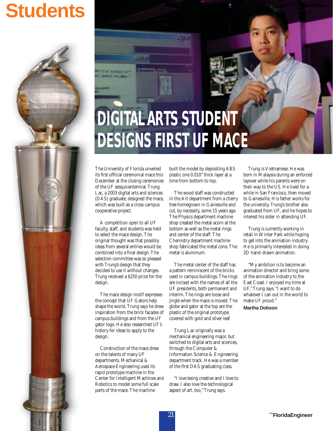## **Students**



The University of Florida unveiled its first official ceremonial mace this December at the closing ceremonies of the UF sesquicentennial. Trung Lac, a 2003 digital arts and sciences (DAS) graduate, designed the mace, which was built as a cross-campus cooperative project.

A competition open to all UF faculty, staff, and students was held to select the mace design. The original thought was that possibly ideas from several entries would be combined into a final design. The selection committee was so pleased with Trung's design that they decided to use it without changes. Trung received a \$250 prize for the design.

The mace design motif expresses the concept that UF Gators help shape the world. Trung says he drew inspiration from the brick facades of campus buildings and from the UF gator logo. He also researched UF's history for ideas to apply to the design.

Construction of the mace drew on the talents of many UF departments. Mechanical & Aerospace Engineering used its rapid prototype machine in the Center for Intelligent Machines and Robotics to model some full scale parts of the mace. The machine

built the model by depositing ABS plastic one 0.010" thick layer at a time from bottom to top.

The wood staff was constructed in the Art department from a cherry tree homegrown in Gainesville and cut, by necessity, some 15 years ago. The Physics department machine shop created the metal acorn at the bottom as well as the metal rings and center of the staff. The Chemistry department machine shop fabricated the metal cone. The metal is aluminum.

The metal center of the staff has a pattern reminiscent of the bricks used in campus buildings. The rings are incised with the names of all the UF presidents, both permanent and interim. The rings are loose and jingle when the mace is moved. The globe and gator at the top are the plastic of the original prototype, covered with gold and silver leaf.

Trung Lac originally was a mechanical engineering major, but switched to digital arts and sciences, through the Computer & Information Science & Engineering department track. He was a member of the first DAS graduating class.

"I love being creative and I love to draw. I also love the technological aspect of art, too," Trung says.

Trung is Vietnamese. He was born in Malaysia during an enforced layover while his parents were on their way to the US. He lived for a while in San Francisco, then moved to Gainesville. His father works for the university. Trung's brother also graduated from UF, and he hopes to interest his sister in attending UF.

Trung is currently working in retail in Winter Park while hoping to get into the animation industry. He is primarily interested in doing 2D hand-drawn animation.

"My ambition is to become an animation director and bring some of the animation industry to the East Coast. I enjoyed my time at UF," Trung says. "I want to do whatever I can out in the world to make UF proud."

**Martha Dobson**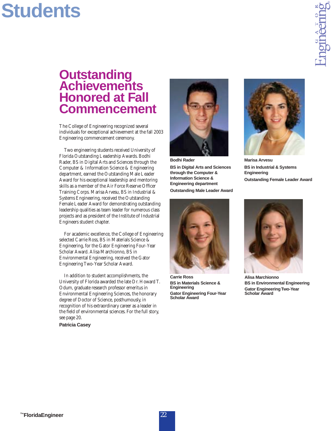## **Students**

### **Outstanding Achievements Honored at Fall Commencement**

The College of Engineering recognized several individuals for exceptional achievement at the fall 2003 Engineering commencement ceremony.

Two engineering students received University of Florida Outstanding Leadership Awards. Bodhi Rader, BS in Digital Arts and Sciences through the Computer & Information Science & Engineering department, earned the Outstanding Male Leader Award for his exceptional leadership and mentoring skills as a member of the Air Force Reserve Officer Training Corps. Marisa Arvesu, BS in Industrial & Systems Engineering, received the Outstanding Female Leader Award for demonstrating outstanding leadership qualities as team leader for numerous class projects and as president of the Institute of Industrial Engineers student chapter.

For academic excellence, the College of Engineering selected Carrie Ross, BS in Materials Science & Engineering, for the Gator Engineering Four-Year Scholar Award. Alisa Marchionno, BS in Environmental Engineering, received the Gator Engineering Two-Year Scholar Award.

In addition to student accomplishments, the University of Florida awarded the late Dr. Howard T. Odum, graduate research professor emeritus in Environmental Engineering Sciences, the honorary degree of Doctor of Science, posthumously, in recognition of his extraordinary career as a leader in the field of environmental sciences. For the full story, see page 20. **Patricia Casey**



**Bodhi Rader BS in Digital Arts and Sciences through the Computer & Information Science & Engineering department**

**Outstanding Male Leader Award**



**Carrie Ross BS in Materials Science & Engineering Gator Engineering Four-Year Scholar Award**



**Marisa Arvesu BS in Industrial & Systems Engineering Outstanding Female Leader Award**



**Alisa Marchionno BS in Environmental Engineering Gator Engineering Two-Year Scholar Award**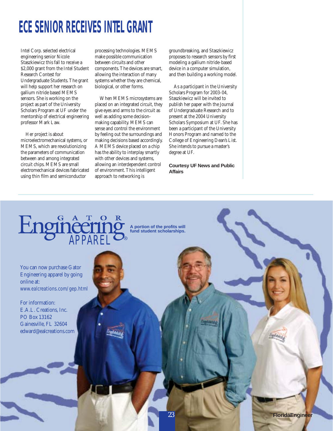### **ECE SENIOR RECEIVES INTEL GRANT**

Intel Corp. selected electrical engineering senior Nicole Staszkiewicz this fall to receive a \$2,000 grant from the Intel Student Research Contest for Undergraduate Students. The grant will help support her research on gallium nitride based MEMS sensors. She is working on the project as part of the University Scholars Program at UF under the mentorship of electrical engineering professor Mark Law.

Her project is about microelectromechanical systems, or MEMS, which are revolutionizing the parameters of communication between and among integrated circuit chips. MEMS are small electromechanical devices fabricated using thin film and semiconductor

processing technologies. MEMS make possible communication between circuits and other components. The devices are smart, allowing the interaction of many systems whether they are chemical, biological, or other forms.

When MEMS microsystems are placed on an integrated circuit, they give eyes and arms to the circuit as well as adding some decisionmaking capability. MEMS can sense and control the environment by feeling out the surroundings and making decisions based accordingly. A MEMS device placed on a chip has the ability to interplay smartly with other devices and systems, allowing an interdependent control of environment. This intelligent approach to networking is

groundbreaking, and Staszkiewicz proposes to research sensors by first modeling a gallium nitride-based device in a computer simulation, and then building a working model.

As a participant in the University Scholars Program for 2003-04, Staszkiewicz will be invited to publish her paper with the Journal of Undergraduate Research and to present at the 2004 University Scholars Symposium at UF. She has been a participant of the University Honors Program and named to the College of Engineering Dean's List. She intends to pursue a master's degree at UF.

**Courtesy UF News and Public Affairs**



You can now purchase Gator Engineering apparel by going online at: www.ealcreations.com/gep.html

For information: E.A.L. Creations, Inc. PO Box 13162 Gainesville, FL 32604 edward@ealcreations.com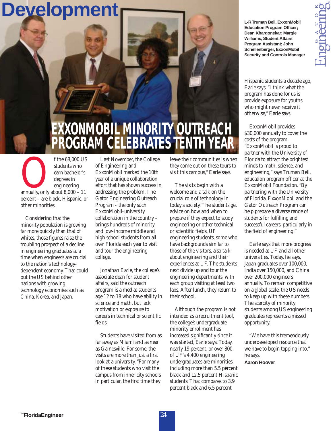### **Development**

### **EXXONMOBIL MINORITY OUTREACH PROGRAM CELEBRATES TENTH YEAR**

f the 68,000 US<br>students who<br>earn bachelor's<br>degrees in<br>engineering<br>annually, only about 8,000 – 11<br>percent – are black Hispanic on students who earn bachelor's degrees in engineering percent – are black, Hispanic, or other minorities.

Considering that the minority population is growing far more quickly than that of whites, those figures raise the troubling prospect of a decline in engineering graduates at a time when engineers are crucial to the nation's technologydependent economy. That could put the US behind other nations with growing technology economies such as China, Korea, and Japan.

Last November, the College of Engineering and ExxonMobil marked the 10th year of a unique collaboration effort that has shown success in addressing the problem. The Gator Engineering Outreach Program - the only such ExxonMobil-university collaboration in the country – brings hundreds of minority and low-income middle and high school students from all over Florida each year to visit and tour the engineering college.

Jonathan Earle, the college's associate dean for student affairs, said the outreach program is aimed at students age 12 to 18 who have ability in science and math, but lack motivation or exposure to careers in technical or scientific fields.

Students have visited from as far away as Miami and as near as Gainesville. For some, the visits are more than just a first look at a university. "For many of these students who visit the campus from inner city schools in particular, the first time they

leave their communities is when they come out on these tours to visit this campus," Earle says.

The visits begin with a welcome and a talk on the crucial role of technology in today's society. The students get advice on how and when to prepare if they expect to study engineering or other technical or scientific fields. UF engineering students, some who have backgrounds similar to those of the visitors, also talk about engineering and their experiences at UF. The students next divide up and tour the engineering departments, with each group visiting at least two labs. After lunch, they return to their school.

Although the program is not intended as a recruitment tool, the college's undergraduate minority enrollment has increased significantly since it was started, Earle says. Today, nearly 19 percent, or over 800, of UF's 4,400 engineering undergraduates are minorities, including more than 5.5 percent black and 12.5 percent Hispanic students. That compares to 3.9 percent black and 6.5 percent

**L-R Truman Bell, ExxonMobil Education Program Officer; Dean Khargonekar; Margie Williams, Student Affairs Program Assistant; John Schellenberger, ExxonMobil Security and Controls Manager**

Hispanic students a decade ago, Earle says. "I think what the program has done for us is provide exposure for youths who might never receive it otherwise," Earle says.

ExxonMobil provides \$30,000 annually to cover the costs of the program. "ExxonMobil is proud to partner with the University of Florida to attract the brightest minds to math, science, and engineering," says Truman Bell, education program officer at the ExxonMobil Foundation. "By partnering with the University of Florida, ExxonMobil and the Gator Outreach Program can help prepare a diverse range of students for fulfilling and successful careers, particularly in the field of engineering."

Earle says that more progress is needed at UF and all other universities. Today, he says, Japan graduates over 100,000, India over 150,000, and China over 200,000 engineers annually. To remain competitive on a global scale, the US needs to keep up with these numbers. The scarcity of minority students among US engineering graduates represents a missed opportunity.

"We have this tremendously underdeveloped resource that we have to begin tapping into," he says.

**Aaron Hoover**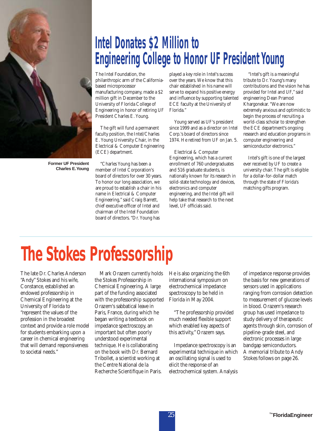

**Former UF President Charles E.Young**

### **Intel Donates \$2 Million to Engineering College to Honor UF President Young**

The Intel Foundation, the philanthropic arm of the Californiabased microprocessor manufacturing company, made a \$2 million gift in December to the University of Florida College of Engineering in honor of retiring UF President Charles E. Young.

The gift will fund a permanent faculty position, the Intel/Charles E. Young University Chair, in the Electrical & Computer Engineering (ECE) department.

"Charles Young has been a member of Intel Corporation's board of directors for over 30 years. To honor our long association, we are proud to establish a chair in his name in Electrical & Computer Engineering," said Craig Barrett, chief executive officer of Intel and chairman of the Intel Foundation board of directors. "Dr. Young has

played a key role in Intel's success over the years. We know that this chair established in his name will serve to expand his positive energy and influence by supporting talented ECE faculty at the University of Florida."

Young served as UF's president since 1999 and as a director on Intel Corp.'s board of directors since 1974. He retired from UF on Jan. 5.

Electrical & Computer Engineering, which has a current enrollment of 760 undergraduates and 516 graduate students, is nationally known for its research in solid-state technology and devices, electronics and computer engineering, and the Intel gift will help take that research to the next level, UF officials said.

"Intel's gift is a meaningful tribute to Dr. Young's many contributions and the vision he has provided for Intel and UF," said engineering Dean Pramod Khargonekar. "We are now extremely anxious and optimistic to begin the process of recruiting a world-class scholar to strengthen the ECE department's ongoing research and education programs in computer engineering and semiconductor electronics."

Intel's gift is one of the largest ever received by UF to create a university chair. The gift is eligible for a dollar-for-dollar match through the state of Florida's matching gifts program.

## **The Stokes Professorship**

The late Dr. Charles Anderson "Andy" Stokes and his wife, Constance, established an endowed professorship in Chemical Engineering at the University of Florida to "represent the values of the profession in the broadest context and provide a role model for students embarking upon a career in chemical engineering that will demand responsiveness to societal needs."

Mark Orazem currently holds the Stokes Professorship in Chemical Engineering. A large part of the funding associated with the professorship supported Orazem's sabbatical leave in Paris, France, during which he began writing a textbook on impedance spectroscopy, an important but often poorly understood experimental technique. He is collaborating on the book with Dr. Bernard Tribollet, a scientist working at the Centre National de la Recherche Scientifique in Paris.

He is also organizing the 6th international symposium on electrochemical impedance spectroscopy to be held in Florida in May 2004.

"The professorship provided much needed flexible support which enabled key aspects of this activity," Orazem says.

Impedance spectroscopy is an experimental technique in which an oscillating signal is used to elicit the response of an electrochemical system. Analysis

of impedance response provides the basis for new generations of sensors used in applications ranging from corrosion detection to measurement of glucose levels in blood. Orazem's research group has used impedance to study delivery of therapeutic agents through skin, corrosion of pipeline-grade steel, and electronic processes in large bandgap semiconductors. A memorial tribute to Andy Stokes follows on page 26.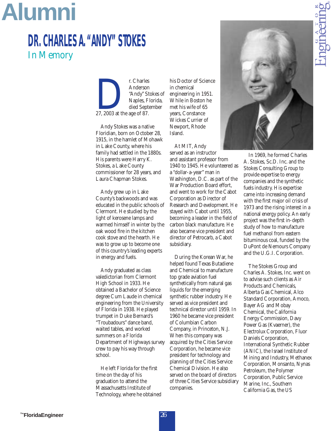## **Alumni**

### **DR.CHARLES A."ANDY"STOKES** In Memory

E. Charles<br>
Anderson<br>
"Andy" St<br>
Naples, F<br>
died Sept<br>
27, 2003 at the age of 87. Anderson "Andy" Stokes of Naples, Florida, died September

Andy Stokes was a native Floridian, born on October 28, 1915, in the hamlet of Mohawk in Lake County, where his family had settled in the 1880s. His parents were Harry K. Stokes, a Lake County commissioner for 28 years, and Laura Chapman Stokes.

Andy grew up in Lake County's backwoods and was educated in the public schools of Clermont. He studied by the light of kerosene lamps and warmed himself in winter by the oak wood fire in the kitchen cook stove and the hearth. He was to grow up to become one of this country's leading experts in energy and fuels.

Andy graduated as class valedictorian from Clermont High School in 1933. He obtained a Bachelor of Science degree Cum Laude in chemical engineering from the University of Florida in 1938. He played trumpet in Duke Bernard's "Troubadours" dance band, waited tables, and worked summers on a Florida Department of Highways survey crew to pay his way through school.

He left Florida for the first time on the day of his graduation to attend the Massachusetts Institute of Technology, where he obtained his Doctor of Science in chemical engineering in 1951. While in Boston he met his wife of 65 years, Constance Wickes Currier of Newport, Rhode Island.

At MIT, Andy served as an instructor and assistant professor from 1940 to 1945. He volunteered as a "dollar-a-year" man in Washington, D.C. as part of the War Production Board effort, and went to work for the Cabot Corporation as Director of Research and Development. He stayed with Cabot until 1955, becoming a leader in the field of carbon black manufacture. He also became vice president and director of Petrocarb, a Cabot subsidiary.

During the Korean War, he helped found Texas Butadiene and Chemical to manufacture top grade aviation fuel synthetically from natural gas liquids for the emerging synthetic rubber industry. He served as vice president and technical director until 1959. In 1960 he became vice president of Columbian Carbon Company, in Princeton, N.J. When this company was acquired by the Cities Service Corporation, he became vice president for technology and planning of the Cities Service Chemical Division. He also served on the board of directors of three Cities Service subsidiary companies.



In 1969, he formed Charles A. Stokes, Sc.D. Inc. and the Stokes Consulting Group to provide expertise to energy companies and the synthetic fuels industry. His expertise came into increasing demand with the first major oil crisis of 1973 and the rising interest in a national energy policy. An early project was the first in-depth study of how to manufacture fuel methanol from eastern bituminous coal, funded by the DuPont de Nemours Company and the U.G.I. Corporation.

The Stokes Group and Charles A. Stokes, Inc. went on to advise such clients as Air Products and Chemicals, Alberta Gas Chemical, Alco Standard Corporation, Amoco, Bayer AG and Mobay Chemical, the California Energy Commission, Davy Power Gas (Kvaerner), the Electrolux Corporation, Fluor Daniels Corporation, International Synthetic Rubber (ANIC), the Israel Institute of Mining and Industry, Methanex Corporation, Monsanto, Nynas Petroleum, the Polymer Corporation, Public Service Marine, Inc., Southern California Gas, the US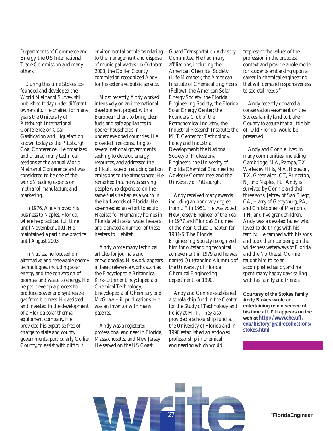Departments of Commerce and Energy, the US International Trade Commission and many others.

During this time Stokes cofounded and developed the World Methanol Survey, still published today under different ownership. He chaired for many years the University of Pittsburgh International Conference on Coal Gasification and Liquefaction, known today as the Pittsburgh Coal Conference. He organized and chaired many technical sessions at the annual World Methanol Conference and was considered to be one of the world's leading experts on methanol manufacture and marketing.

In 1976, Andy moved his business to Naples, Florida, where he practiced full time until November 2001. He maintained a part time practice until August 2003.

In Naples, he focused on alternative and renewable energy technologies, including solar energy and the conversion of biomass and waste to energy. He helped develop a process to produce power and synthesize gas from biomass. He assisted and invested in the development of a Florida solar thermal equipment company. He provided his expertise free of charge to state and county governments, particularly Collier County, to assist with difficult

environmental problems relating to the management and disposal of municipal wastes. In October 2003, the Collier County commission recognized Andy for his extensive public service.

Most recently, Andy worked intensively on an international development project with a European client to bring clean fuels and safe appliances to poorer households in underdeveloped countries. He provided free consulting to several national governments seeking to develop energy resources, and addressed the difficult issue of reducing carbon emissions to the atmosphere. He remarked that he was serving people who depended on the same fuels he had as a youth in the backwoods of Florida. He spearheaded an effort to equip Habitat for Humanity homes in Florida with solar water heaters and donated a number of these heaters to Habitat.

Andy wrote many technical articles for journals and encyclopedias. His work appears in basic reference works such as the Encyclopedia Britannica, Kirk-Othmer Encyclopedia of Chemical Technology, Encyclopedia of Chemistry and McGraw Hill publications. He was an inventor with many patents.

Andy was a registered professional engineer in Florida, Massachusetts, and New Jersey. He served on the US Coast

Guard Transportation Advisory Committee. He had many affiliations, including the American Chemical Society (Life Member); the American Institute of Chemical Engineers (Fellow); the American Solar Energy Society; the Florida Engineering Society; the Florida Solar Energy Center; the Founders' Club of the Petrochemical Industry; the Industrial Research Institute; the MIT Center for Technology, Policy and Industrial Development; the National Society of Professional Engineers; the University of Florida Chemical Engineering Advisory Committee; and the University of Pittsburgh.

Andy received many awards, including an honorary degree from UF in 1951. He was voted New Jersey Engineer of the Year in 1977 and Florida's Engineer of the Year, Calusa Chapter, for 1984-5. The Florida Engineering Society recognized him for outstanding technical achievement in 1979 and he was named Outstanding Alumnus of the University of Florida Chemical Engineering department for 1990.

Andy and Connie established a scholarship fund in the Center for the Study of Technology and Policy at MIT. They also provided a scholarship fund at the University of Florida and in 1996 established an endowed professorship in chemical engineering which would

"represent the values of the profession in the broadest context and provide a role model for students embarking upon a career in chemical engineering that will demand responsiveness to societal needs."

Andy recently donated a conservation easement on the Stokes family land to Lake County to assure that a little bit of "Old Florida" would be preserved.

Andy and Connie lived in many communities, including Cambridge, MA, Pampa, TX, Wellesley Hills, MA, Houston, TX, Greenwich, CT, Princeton, NJ and Naples, FL. Andy is survived by Connie and their three sons, Jeffrey of San Diego, CA, Harry of Gettysburg, PA, and Christopher of Memphis, TN, and five grandchildren. Andy was a devoted father who loved to do things with his family. He camped with his sons and took them canoeing on the wilderness waterways of Florida and the Northeast. Connie taught him to be an accomplished sailor, and he spent many happy days sailing with his family and friends.

**Courtesy of the Stokes family Andy Stokes wrote an entertaining reminiscence of his time at UF. It appears on the web at http://www.che.ufl. edu/history/gradrecollections/ stokes.html.**



<sup>™</sup>FloridaEngineer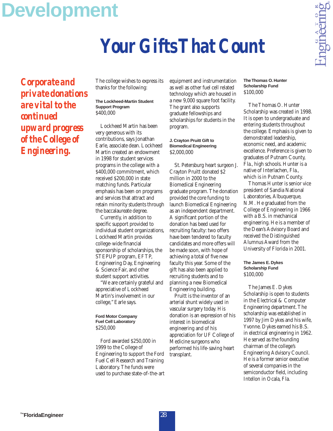## **Development**

## *Your Gifts That Count*

*Corporate and private donations are vital to the continued upward progress of the College of Engineering.*

The college wishes to express its thanks for the following:

#### **The Lockheed-Martin Student Support Program** \$400,000

Lockheed Martin has been very generous with its contributions, says Jonathan Earle, associate dean. Lockheed Martin created an endowment in 1998 for student services programs in the college with a \$400,000 commitment, which received \$200,000 in state matching funds. Particular emphasis has been on programs and services that attract and retain minority students through the baccalaureate degree.

Currently, in addition to specific support provided to individual student organizations, Lockheed Martin provides college-wide financial sponsorship of scholarships, the STEPUP program, EFTP, Engineering Day, Engineering & Science Fair, and other student support activities.

"We are certainly grateful and appreciative of Lockheed Martin's involvement in our college," Earle says.

#### **Ford Motor Company Fuel Cell Laboratory** \$250,000

Ford awarded \$250,000 in 1999 to the College of Engineering to support the Ford Fuel Cell Research and Training Laboratory. The funds were used to purchase state-of-the-art equipment and instrumentation as well as other fuel cell related technology which are housed in a new 9,000 square foot facility. The grant also supports graduate fellowships and scholarships for students in the program.

#### **J. Crayton Pruitt Gift to Biomedical Engineering** \$2,000,000

St. Petersburg heart surgeon J. Crayton Pruitt donated \$2 million in 2000 to the Biomedical Engineering graduate program. The donation provided the core funding to launch Biomedical Engineering as an independent department. A significant portion of the donation has beed used for recruiting faculty: two offers have been tendered to faculty candidates and more offers will be made soon, with hope of achieving a total of five new faculty this year. Some of the gift has also been applied to recruiting students and to planning a new Biomedical Engineering building.

Pruitt is the inventor of an arterial shunt widely used in vascular surgery today. His donation is an expression of his interest in biomedical engineering and of his appreciation for UF College of Medicine surgeons who performed his life-saving heart transplant.

**The Thomas O. Hunter Scholarship Fund** \$100,000

The Thomas O. Hunter Scholarship was created in 1998. It is open to undergraduate and entering students throughout the college. Emphasis is given to demonstrated leadership, economic need, and academic excellence. Preference is given to graduates of Putnam County, Fla., high schools. Hunter is a native of Interlachen, Fla., which is in Putnam County.

Thomas Hunter is senior vice president of Sandia National Laboratories, Albuquerque, N.M. He graduated from the College of Engineering in 1966 with a B.S. in mechanical engineering. He is a member of the Dean's Advisory Board and received the Distinguished Alumnus Award from the University of Florida in 2001.

**The James E. Dykes Scholarship Fund** \$100,000

The James E. Dykes Scholarship is open to students in the Electrical & Computer Engineering department. The scholarship was established in 1997 by Jim Dykes and his wife, Yvonne. Dykes earned his B.S. in electrical engineering in 1962. He served as the founding chairman of the college's Engineering Advisory Council. He is a former senior executive of several companies in the semiconductor field, including Intellon in Ocala, Fla.

™FloridaEngineer 28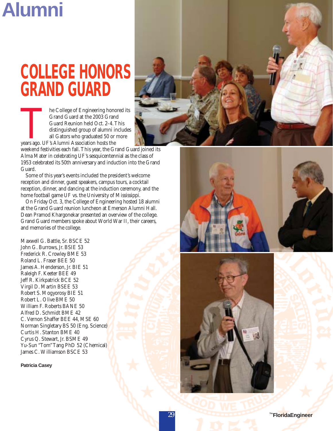## **Alumni**

## **COLLEGE HONORS GRAND GUARD**

The College of Engineering honored its<br>
Grand Guard at the 2003 Grand<br>
Guard Reunion held Oct. 2-4. This<br>
distinguished group of alumni includes<br>
all Gators who graduated 50 or more<br>
years ago. UF's Alumni Association host Grand Guard at the 2003 Grand Guard Reunion held Oct. 2-4. This distinguished group of alumni includes all Gators who graduated 50 or more

weekend festivities each fall. This year, the Grand Guard joined its Alma Mater in celebrating UF's sesquicentennial as the class of 1953 celebrated its 50th anniversary and induction into the Grand Guard.

Some of this year's events included the president's welcome reception and dinner, guest speakers, campus tours, a cocktail reception, dinner, and dancing at the induction ceremony, and the home football game UF vs. the University of Mississippi.

On Friday Oct. 3, the College of Engineering hosted 18 alumni at the Grand Guard reunion luncheon at Emerson Alumni Hall. Dean Pramod Khargonekar presented an overview of the college. Grand Guard members spoke about World War II, their careers, and memories of the college.

Maxwell G. Battle, Sr. BSCE 52 John G. Burrows, Jr. BSIE 53 Frederick R. Crowley BME 53 Roland L. Fraser BEE 50 James A. Henderson, Jr. BIE 51 Raleigh F. Keeter BEE 49 Jeff R. Kirkpatrick BCE 52 Virgil D. Martin BSEE 53 Robert S. Mogyorosy BIE 51 Robert L. Olive BME 50 William F. Roberts BANE 50 Alfred D. Schmidt BME 42 C. Vernon Shaffer BEE 44, MSE 60 Norman Singletary BS 50 (Eng. Science) Curtis H. Stanton BME 40 Cyrus Q. Stewart, Jr. BSME 49 Yu-Sun "Tom" Tang PhD 52 (Chemical) James C. Williamson BSCE 53

**Patricia Casey**





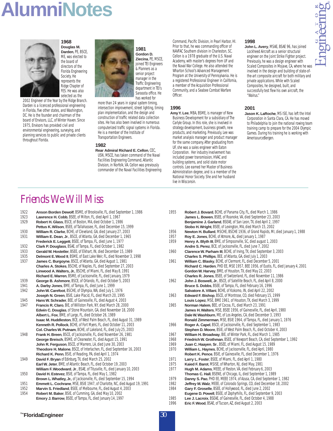## **AlumniNotes**

**1968**



2002 Engineer of the Year by the Ridge Branch. Darden is a licenced professional engineering in Florida, five other states, and Washington, DC. He is the founder and chairman of the board of Envisors, LLC, of Winter Haven. Since 1975, Envisors has provided civil and environmental engineering, surveying, and planning services to public and private clients throughout Florida.





**1981 Gordon D. Ziecina**,PE, MSCE, joined TEI Engineers & Planners as a senior project manager in the Traffic Engineering department in TEI's Sarasota office. He has worked for

more than 24 years in signal system timing, intersection improvement, street lighting, timing plan implementation, and the design and construction of traffic related data collection sites. He has also been involved in numerous computerized traffic signal systems in Florida. He is a member of the Institute of Transportation Engineers.

#### **1982**

**Rear Admiral Richard E. Cellon**, CEC, USN, MSCE, has taken command of the Naval Facilities Engineering Command, Atlantic Division, in Norfolk, VA. Cellon was previously commander of the Naval Facilities Engineering

Command, Pacific Division, in Pearl Harbor, HI. Prior to that, he was commanding officer of NAVFAC Southern division in Charleston, SC. Cellon is a 1978 graduate of the U.S. Naval Academy, with master's degrees from UF and the Naval War College. He also attended the Wharton School's Advanced Management Program at the University of Pennsylvania. He is a registered Professional Engineer in California, a member of the Acquisition Professional Community, and a Seabee Combat Warfare **Officer** 

#### **1996**

**Amy Y. Lee**, MBA, BSME, is manager of New Business Development for a subsidiary of The Carlyle Group. In this role, she is involved in strategy development, business growth, new products, and marketing. Previously, Lee was market analysis manager and product manager for the same company. After graduating from UF, she was a sales engineer with Eaton Corporation. Her industry involvement has included power transmission, HVAC and building systems, and solid state motor controls. Lee earned her Master of Business Administration degree, and is a member of the National Honor Society. She and her husband live in Wisconsin.

#### **1998**

**John L. Avery**, MSAE, BSAE 96, has joined Lockheed Aircraft as a senior structural engineer on the Joint Strike Fighter project. Previously, he was a design engineer with Scaled Composites in Mojave, CA, where he was involved in the design and building of state-ofthe-art composite aircraft for both military and private applications. While with Scaled Composites, he designed, built, and successfully test flew his own aircraft, the "Walrus."

#### **2001**

**Jason K. LaRoche**, MS ISE, has left the Intel Corporation in Santa Clara, CA. He has moved to Philadelphia to join the national rowing team training camp to prepare for the 2004 Olympic Games. During his training he is working with AmerisourceBergen.

### Friends We Will Miss

- 1922 **Anson Borden Dewolf**, BSME, of Brooksville, FL, died September 1, 1986
- 1923 **Lawrence H. Cobb**, BSEE, of Milton, FL, died April 1, 1967
- 1929 **Robert H. Glass**, BSCE, of Boston, MA, died October 1, 1986
- **Pettus K.Wilson**, BSEE, of Tallahassee, FL, died December 15, 1999 1930 **William R. Clarke**, BCHE, of Cleveland, GA, died January 27, 2003
- 1931 **William E. Dean**, **Jr**., BSCE, of Atlanta, GA, died December 1, 1965 **Frederick E. Leggett**, BSEE, of Tampa, FL, died June 1, 1977
- 1932 **Clark P. Douglass**, BSAE, of Tampa, FL, died October 1, 1982
- 1933 **Gerald W. Hostetler**, BSEE, of Elkhart, IN, died December 15, 1989
- 1935 **Delmont E.Wood II**, BSME, of East Lake Weir, FL, died November 3, 1998 1937 **James C. Burgoyne**, BSCE, of Atlanta, GA, died August 1, 1981 **Charles A. Stokes**, BSCHE, of Naples, FL, died September 27, 2003
- **Linwood A.Walters, Jr.**, BSCHE, of Miami, FL, died May 8, 1991
- **Richard E.Warren**, BSME, of Jacksonville, FL, died January, 1979 1939 **George B. Ashmore**, BSCE, of Orlando, FL, died October 5, 2003
- 1941 **A. Darby Jones**, BME, of Tampa, FL, died June 1, 1999
- 1942 **John W. Carefoot**, BSCHE, of Olympia, WA, died July 1, 1976 **Joseph N. Green**, BSIE, Lake Placid, FL, died March 20, 1995
- 1945 **Hans W. Schrader**, BEE, of Gainesville, FL, died August 4, 2003 1947 **Francis R. Claro**, BIE, of Williston Park, NY, died March 28, 2000 Edwin C. Douglas, of Stone Mountain, GA, died November 18, 2000 **Albert L. Fox**, BME, of Largo, FL, died October 26, 1989 **Isaac M. Huddleston**, BCE, of West Palm Beach, FL, died August 31, 1989 **Kenneth R. Pollock**, BCHE, of Fort Myers, FL, died October 11, 2003
- **Col. Charles W. Putnam**, BCHE, of Lakeland, FL, died July 25, 2003 1948 **Frank H. Breen**, BSCE, of Jacksonville, FL, died November 26, 1981 **George Breisch**, BSME, of Clearwater, FL, died August 15, 1991 **John R. Ferguson**, BSCE, of Marrero, LA, died June 30, 2003 **Theodore H. Malone**, BSCE, of Interlachen, FL, died September 16, 2003 **Richard K. Penn**, BSIE, of Reading, PA, died April 1, 1974
- 1949 **David F. Bryan** of Edinburg, TX, died March 25, 2002 **Earl W. Jeter**, BME, of Atlantic Beach, FL, died October 19, 2003 **William F.Woodward**, **Jr**., BSAE, of Titusville, FL, died January 10, 2003
- 1950 **David H. Estevez**, BSIE, of Tampa, FL, died May 1, 1982 Brown L. Whatley, Jr., of Jacksonville, FL, died September 15, 1994
- 1951 **Emmett L. Cochrane**, MSE, BSIE 1947, of Charlotte, NC, died August 19, 1991
- 1952 **Marvin S. Friedland**, BSEE, of Melbourne, FL, died August 4, 2003
- 1954 **Robert M. Baker**, BSIE, of Cumming, GA, died May 10, 2002 **Emory J. Barrow**, BSEE, of Tampa, FL, died January 14, 1997
- **James L. Bowen**, BSEE, of Roanoke, VA, died September 23, 2003 **Benjamine J. Garland**, BSEAE, of San Leon, TX, died April 2, 1997 **Stobo H.Wright**, BSEE, of Lexington, MA, died March 15, 2002 1956 **Newton H. Bullard**, MSCHE, BSCHE 1936, of Grand Rapids, MI, died January 1, 1988 1957 **Roy E. Jones**, BCHE, of Atmore, AL, died January 1, 1987 Henry A. Blyth III, BME, of Simpsonville, SC, died august 1, 2003 **Andre S. Perez**, BCE, of Jacksonville, FL, died June 7, 2002 1960 **Clarence W. Parham III**, BCHE, of Irving, TX, died September 3, 2003 **Charles S. Phillips**, BEE, of Atlanta, GA, died July 1, 2003 1961 **William C. Blasky**, BCHE, of Clermont, FL, died December 5, 2001 **Richard C. Harden**, PHD EE, MSE 1957, BEE 1956, of Eustis, FL, died January 4, 2001 **Gordon W. Harvey**, BME, of Houston, TX, died May 22, 2003
- **Charles R. Jones**, BSEE, of Switzerland, FL, died November 11, 1986 1962 **John J. Boswell, Jr**., BSCE, of Satellite Beach, FL, died April 8, 2000 **Bruce S. Dobbs**, BSEE, of Tampa, FL, died February 16, 1996
- **Salvatore A.Villani**, BCHE, of Kokomo, IN, died April 22, 2002 1963 **Edward F. Bishop**, BSCE, of Montrose, CO, died February 15, 1999 **Louis Lopez**, MSE, BME 1961, of Houston, TX, died March 3, 1999

1955 **Robert J. Bovard**, BCHE, of Panama City, FL, died March 1, 1986

- 1965 **Norman Halem**, BEE, of Cocoa, FL, died March 23, 1991 **James H.Walters**, MSE, BSEE 1956, of Gainesville, FL, died April, 1980 **Dale W.Washburn**, ME, of Los Angeles, CA, died December 3, 1993 **Ronald Zimmerman**, MSE, BSIE 1964, of Tampa, FL, died January 1, 1976
- 1966 **Roger A. Capel**, BSCE, of Jacksonville, FL, died September 1, 1983
- **Stephen D. Moore**, BSIE, of West Palm Beach, FL, died October 4, 2003 1967 **William H. Broadway**, BIE, of Winter Park, FL, died March 1, 1985
- 1968 **Friedrich W. Grothman**, BSEE, of Newport Beach, CA, died September 1, 1992
- 
- 1969 **Juan C. Haayen**, **Sr**., BSEE, of Miami, FL, died August 15, 1989 1970 **William L. Haynes**, BCHE, of Jacksonville, FL, died April, 1980
- **Robert K. Pence**, BSIE, of Gainesville, FL, died December 1, 1976
- 1971 **Larry L. Foste**r, BSEE, of Miami, FL, died April 1, 1980
- Kaied F. Barot, MSISE, of Wharton, NJ, died May, 1981
- 1977 **Hugh M. Adams**, MEEE, of Reston, VA, died February 6, 2003 **Thomas C. Hall**, BSENE, of Chicago, IL, died September 1, 1989
- 1979 **Danny S. Pao**,PHD EE, MEEE 1974, of Azusa, CA, died September 1, 1982
- 1982 **Jeffrey M.Walz**, MEEE, of Colorado Springs, CO, died December 18, 2002
- 1984 **Gary F. Groselle**, BSEE, of Hollywood, FL, died June 2, 2002
- **Eugene D. Powell**, BSEE, of Zephyrhills, FL, died September 9, 2003 1985 **Lee J. Lacroix**, BSEAE, of Gainesville, FL, died October 4, 1988
- 1996 **Eric F.Wood**, BSAE, of Tucson, AZ, died August 2, 2003
- ™FloridaEngineer 30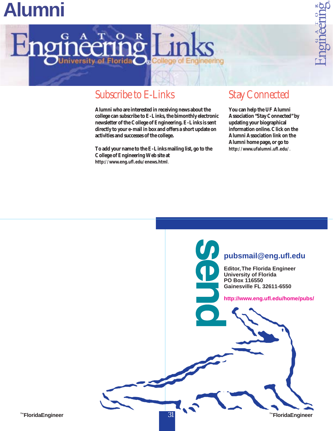## **Alumni**



### Subscribe to E-Links

**Alumni who are interested in receiving news about the college can subscribe to E-Links, the bimonthly electronic newsletter of the College of Engineering. E-Links is sent directly to your e-mail in box and offers a short update on activities and successes of the college.**

**To add your name to the E-Links mailing list, go to the College of Engineering Web site at http://www.eng.ufl.edu/enews.html**.

### Stay Connected

indering

nori

**You can help the UF Alumni Association "Stay Connected" by updating your biographical information online. Click on the Alumni Association link on the Alumni home page, or go to http://www.ufalumni.ufl.edu/**.